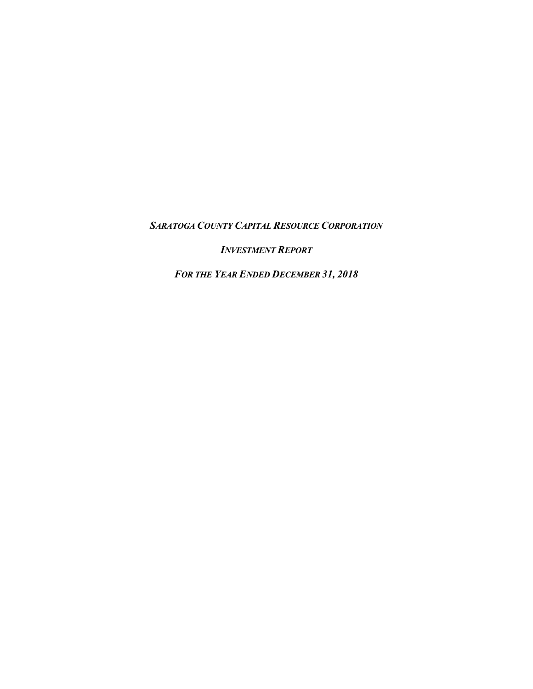*SARATOGA COUNTY CAPITAL RESOURCE CORPORATION*

*INVESTMENT REPORT*

*FOR THE YEAR ENDED DECEMBER 31, 2018*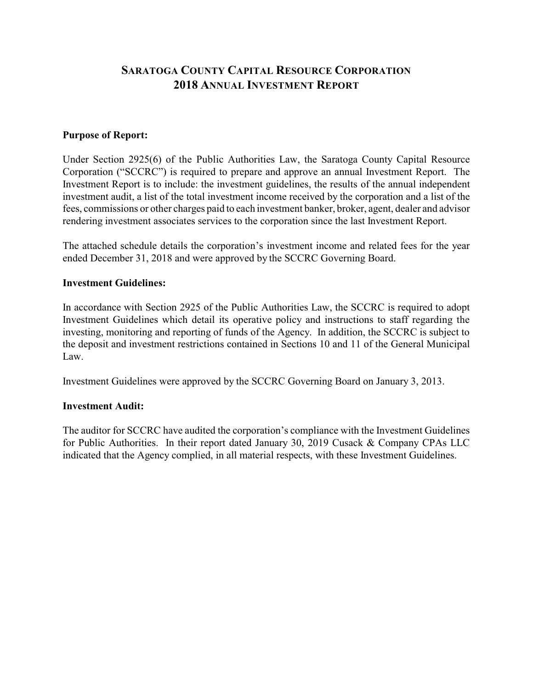# **SARATOGA COUNTY CAPITAL RESOURCE CORPORATION 2018 ANNUAL INVESTMENT REPORT**

#### **Purpose of Report:**

Under Section 2925(6) of the Public Authorities Law, the Saratoga County Capital Resource Corporation ("SCCRC") is required to prepare and approve an annual Investment Report. The Investment Report is to include: the investment guidelines, the results of the annual independent investment audit, a list of the total investment income received by the corporation and a list of the fees, commissions or other charges paid to each investment banker, broker, agent, dealer and advisor rendering investment associates services to the corporation since the last Investment Report.

The attached schedule details the corporation's investment income and related fees for the year ended December 31, 2018 and were approved by the SCCRC Governing Board.

#### **Investment Guidelines:**

In accordance with Section 2925 of the Public Authorities Law, the SCCRC is required to adopt Investment Guidelines which detail its operative policy and instructions to staff regarding the investing, monitoring and reporting of funds of the Agency. In addition, the SCCRC is subject to the deposit and investment restrictions contained in Sections 10 and 11 of the General Municipal Law.

Investment Guidelines were approved by the SCCRC Governing Board on January 3, 2013.

### **Investment Audit:**

The auditor for SCCRC have audited the corporation's compliance with the Investment Guidelines for Public Authorities. In their report dated January 30, 2019 Cusack & Company CPAs LLC indicated that the Agency complied, in all material respects, with these Investment Guidelines.